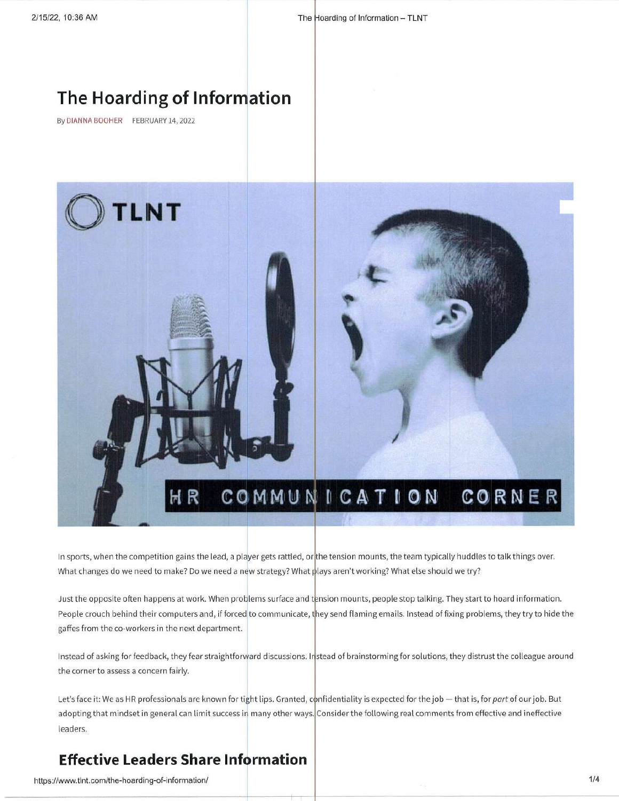# The Hoarding of Information

By DIANNA BOOHER FEBRUARY 14, 2022



In sports, when the competition gains the lead, a player gets rattled, or the tension mounts, the team typically huddles to talk things over. What changes do we need to make? Do we need a new strategy? What plays aren't working? What else should we try?

Just the opposite often happens at work. When problems surface and tension mounts, people stop talking. They start to hoard information People crouch behind their computers and, if forced|to communicate, they send flaming emails. Instead of fixing problems, they try to hide the gaffes from the co-workers in the next department.

Instead of asking for feedback, they fear straightforward discussions. Instead of brainstorming for solutions, they distrust the colleague around the corner to assess a concern fairly

identiality is expected for the job — that is, for *part* of our job. But adopting that mindset in general can limit success in many other ways. Consider the following real comments from effective and ineffective leaders.

## Effective Leaders Share Information

https://www.tlnt.com/the-hoarding-of-information/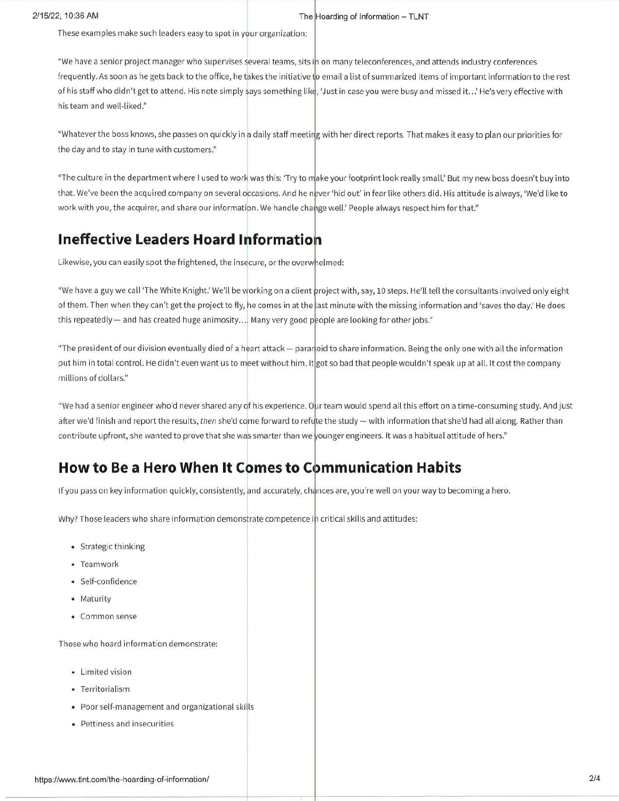These examples make such leaders easy to spot in your organization:

"We have a senior project manager who supervises several teams, sits ih on many teleconferences, and attends industry conference: frequently. As soon as he gets back to the office, he takes the initiative t<mark>o email a list of summarized items of important information to the res</mark>t of his staff who didn't get to attend. His note simply says something like, 'Just in case you were busy and missed it…' He's very effective with his team and wetl-liked."

"Whatever the boss knows, she passes on quickly in a daily staff meeting with her direct reports. That makes it easy to plan our priorities for the day and to stay in tune with customers,"

"The culture in the department where I used to work was this: 'Try to make your footprint look really small.' But my new boss doesn't buy into that. We've been the acquired company on several occasions. And he never 'hid out' in fear like others did. His attitude is always, 'We'd like to work with you, the acquirer, and share our information. We handle change well.' People always respect him for that."

## Ineffective Leaders Hoard <sup>I</sup>

Likewise, you can easily spot the frightened, the insecure, or the overwhelmed:

"We have a guy we call 'The White Knight.' We'll be working on a client project with, say, 10 steps. He'll tell the consultants involved only eight of them. Then when they can't get the project to fly, he comes in at the last minute with the missing information and 'saves the day.' He does this repeatedly — and has created huge animosity…. Many very good p<mark>eople are looking for other jobs."</mark>

"The president of our division eventually died of a heart attack — paran<mark>oid to share information. Being the only one with all the informatior</mark> put him in total control. He didn't even want us to meet without him. It|got so bad that people wouldn't speak up at all. It cost the company millions of dollars."

"We had a senior engineer who'd never shared any of his experience. Oµr team would spend all this effort on a time-consuming study. And just after we'd finish and report the results, *then* she'd co<mark>me forward to refu</mark>te the study — with information that she'd had all along. Rather than contribute upfront, she wanted to prove that she was smarter than we younger engineers. It was a habitual attitude of hers."

## How to Be a Hero When It Comes to Communication Habits

If you pass on key information quickly, consistently, and accurately, chances are, you're well on your way to becoming a hero.

Why? Those leaders who share information demonstrate competence in critical skills and attitudes:

- Strategic thinking
- Teamwork
- Self-confidence
- Maturity
- Common sense

Those who hoard information demonstrate:

- Limited vision
- Territorialism
- Poor self-management and organizational skills
- Pettiness and insecurities